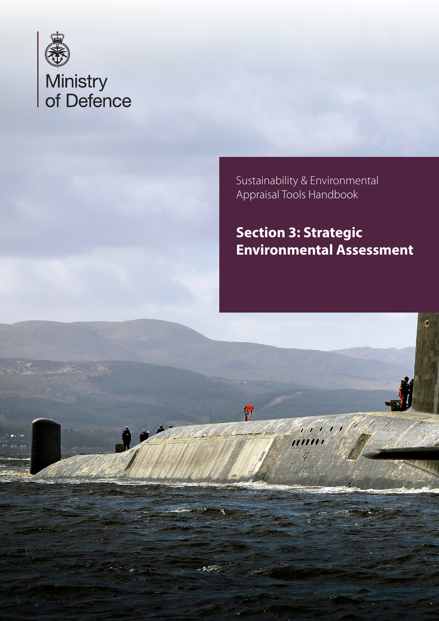

Sustainability & Environmental Appraisal Tools Handbook

# **Section 3: Strategic Environmental Assessment**

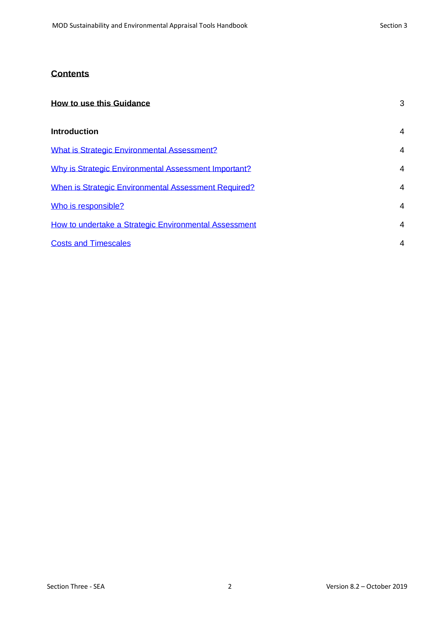## **Contents**

| <b>How to use this Guidance</b>                       |                |
|-------------------------------------------------------|----------------|
| <b>Introduction</b>                                   | 4              |
| <b>What is Strategic Environmental Assessment?</b>    | $\overline{4}$ |
| Why is Strategic Environmental Assessment Important?  | $\overline{4}$ |
| When is Strategic Environmental Assessment Required?  | $\overline{4}$ |
| Who is responsible?                                   | $\overline{4}$ |
| How to undertake a Strategic Environmental Assessment | 4              |
| <b>Costs and Timescales</b>                           | 4              |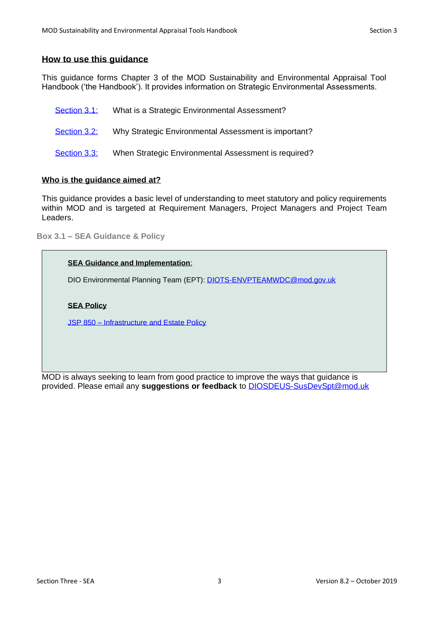## <span id="page-2-0"></span>**How to use this guidance**

This guidance forms Chapter 3 of the MOD Sustainability and Environmental Appraisal Tool Handbook ('the Handbook'). It provides information on Strategic Environmental Assessments.

| Section 3.1: | What is a Strategic Environmental Assessment?        |
|--------------|------------------------------------------------------|
| Section 3.2: | Why Strategic Environmental Assessment is important? |
| Section 3.3: | When Strategic Environmental Assessment is required? |

#### **Who is the guidance aimed at?**

This guidance provides a basic level of understanding to meet statutory and policy requirements within MOD and is targeted at Requirement Managers, Project Managers and Project Team Leaders.

**Box 3.1 – SEA Guidance & Policy**

#### **SEA Guidance and Implementation**:

DIO Environmental Planning Team (EPT): DIOTS-ENVPTEAMWDC@mod.gov.uk

#### **SEA Policy**

JSP 850 – [Infrastructure and Estate Policy](https://modgovuk.sharepoint.com/sites/defnet/HOCS/Pages/JSP850.aspx)

MOD is always seeking to learn from good practice to improve the ways that guidance is provided. Please email any **suggestions or feedback** to [DIOSDEUS-SusDevSpt@mod.uk](mailto:DIOSDEUS-SusDevSpt@mod.uk)